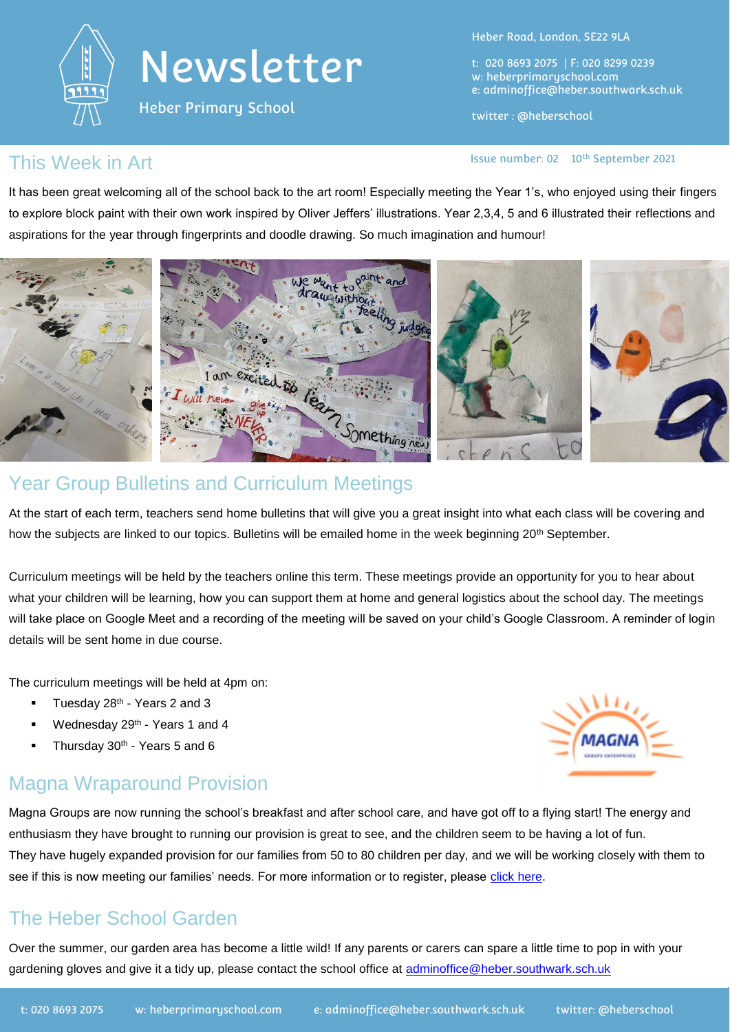

Heber Primary School

Heber Road, London, SE22 9LA

t: 020 8693 2075 | F: 020 8299 0239 w: heberprimaryschool.com e: [adminoffice@heber.southwark.sch.uk](mailto:adminoffice@heber.southwark.sch.uk)

twitter : @heberschool

Issue number: 02 10th September 2021

#### This Week in Art

It has been great welcoming all of the school back to the art room! Especially meeting the Year 1's, who enjoyed using their fingers to explore block paint with their own work inspired by Oliver Jeffers' illustrations. Year 2,3,4, 5 and 6 illustrated their reflections and aspirations for the year through fingerprints and doodle drawing. So much imagination and humour!



At the start of each term, teachers send home bulletins that will give you a great insight into what each class will be covering and how the subjects are linked to our topics. Bulletins will be emailed home in the week beginning 20<sup>th</sup> September.

Curriculum meetings will be held by the teachers online this term. These meetings provide an opportunity for you to hear about what your children will be learning, how you can support them at home and general logistics about the school day. The meetings will take place on Google Meet and a recording of the meeting will be saved on your child's Google Classroom. A reminder of login details will be sent home in due course.

The curriculum meetings will be held at 4pm on:

- Tuesday 28<sup>th</sup> Years 2 and 3
- **Wednesday 29th Years 1 and 4**
- Thursday 30<sup>th</sup> Years 5 and 6

### Magna Wraparound Provision



Magna Groups are now running the school's breakfast and after school care, and have got off to a flying start! The energy and enthusiasm they have brought to running our provision is great to see, and the children seem to be having a lot of fun. They have hugely expanded provision for our families from 50 to 80 children per day, and we will be working closely with them to see if this is now meeting our families' needs. For more information or to register, please [click here.](https://www.magnagroups.com/magna-extended)

### The Heber School Garden

Over the summer, our garden area has become a little wild! If any parents or carers can spare a little time to pop in with your gardening gloves and give it a tidy up, please contact the school office at [adminoffice@heber.southwark.sch.uk](mailto:adminoffice@heber.southwark.sch.uk)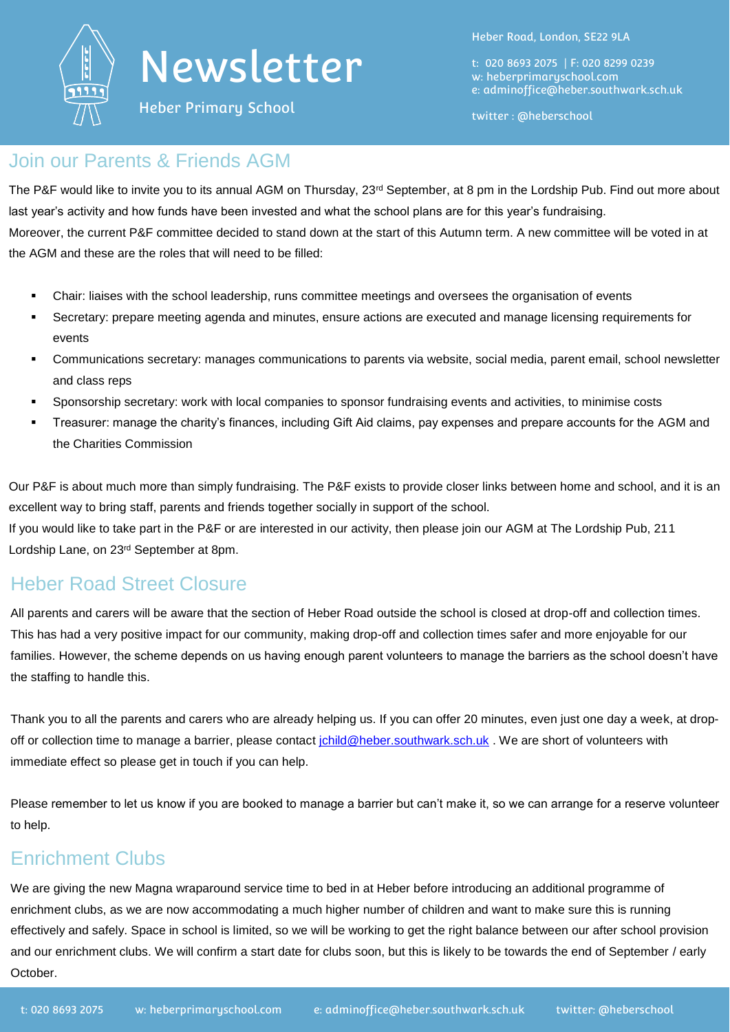

Heber Primary School

Heber Road, London, SE22 9LA

t: 020 8693 2075 | F: 020 8299 0239 w: heberprimaryschool.com e: [adminoffice@heber.southwark.sch.uk](mailto:adminoffice@heber.southwark.sch.uk)

twitter : @heberschool

#### Join our Parents & Friends AGM

The P&F would like to invite you to its annual AGM on Thursday, 23<sup>rd</sup> September, at 8 pm in the Lordship Pub. Find out more about last year's activity and how funds have been invested and what the school plans are for this year's fundraising. Moreover, the current P&F committee decided to stand down at the start of this Autumn term. A new committee will be voted in at the AGM and these are the roles that will need to be filled:

- Chair: liaises with the school leadership, runs committee meetings and oversees the organisation of events
- Secretary: prepare meeting agenda and minutes, ensure actions are executed and manage licensing requirements for events
- Communications secretary: manages communications to parents via website, social media, parent email, school newsletter and class reps
- Sponsorship secretary: work with local companies to sponsor fundraising events and activities, to minimise costs
- Treasurer: manage the charity's finances, including Gift Aid claims, pay expenses and prepare accounts for the AGM and the Charities Commission

Our P&F is about much more than simply fundraising. The P&F exists to provide closer links between home and school, and it is an excellent way to bring staff, parents and friends together socially in support of the school.

If you would like to take part in the P&F or are interested in our activity, then please join our AGM at The Lordship Pub, 211 Lordship Lane, on 23rd September at 8pm.

#### Heber Road Street Closure

All parents and carers will be aware that the section of Heber Road outside the school is closed at drop-off and collection times. This has had a very positive impact for our community, making drop-off and collection times safer and more enjoyable for our families. However, the scheme depends on us having enough parent volunteers to manage the barriers as the school doesn't have the staffing to handle this.

Thank you to all the parents and carers who are already helping us. If you can offer 20 minutes, even just one day a week, at dropoff or collection time to manage a barrier, please contact [jchild@heber.southwark.sch.uk](mailto:jchild@heber.southwark.sch.uk). We are short of volunteers with immediate effect so please get in touch if you can help.

Please remember to let us know if you are booked to manage a barrier but can't make it, so we can arrange for a reserve volunteer to help.

### Enrichment Clubs

We are giving the new Magna wraparound service time to bed in at Heber before introducing an additional programme of enrichment clubs, as we are now accommodating a much higher number of children and want to make sure this is running effectively and safely. Space in school is limited, so we will be working to get the right balance between our after school provision and our enrichment clubs. We will confirm a start date for clubs soon, but this is likely to be towards the end of September / early October.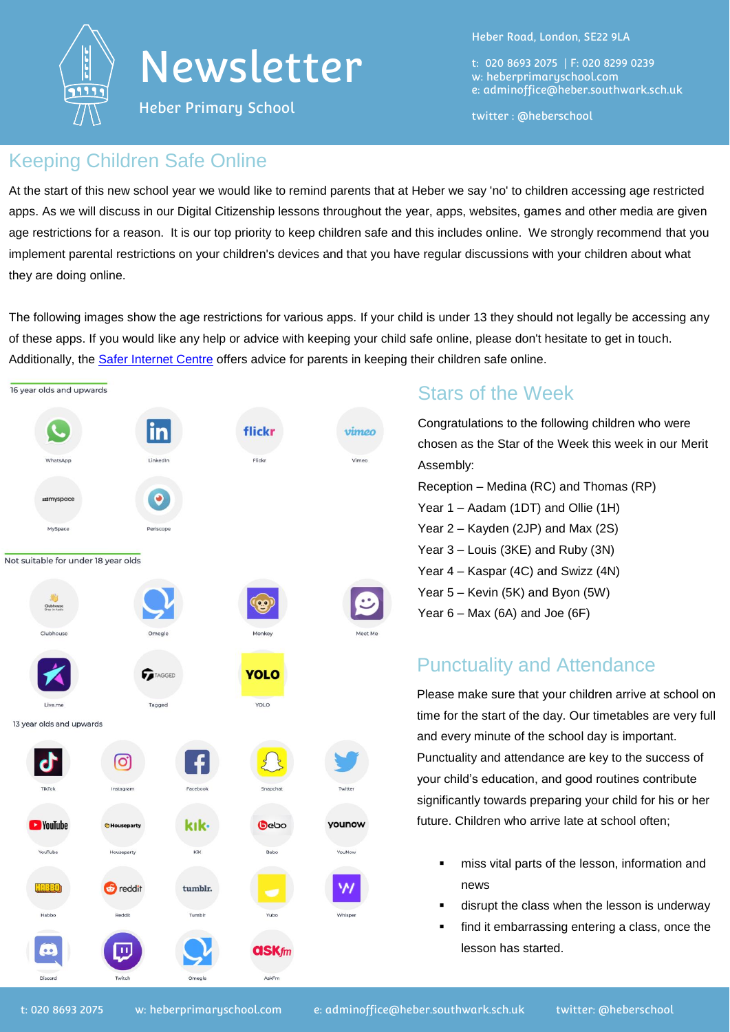

Heber Primary School

Heber Road, London, SE22 9LA

t: 020 8693 2075 | F: 020 8299 0239 w: heberprimaryschool.com e: [adminoffice@heber.southwark.sch.uk](mailto:adminoffice@heber.southwark.sch.uk)

twitter : @heberschool

#### Keeping Children Safe Online

At the start of this new school year we would like to remind parents that at Heber we say 'no' to children accessing age restricted apps. As we will discuss in our Digital Citizenship lessons throughout the year, apps, websites, games and other media are given age restrictions for a reason. It is our top priority to keep children safe and this includes online. We strongly recommend that you implement parental restrictions on your children's devices and that you have regular discussions with your children about what they are doing online.

The following images show the age restrictions for various apps. If your child is under 13 they should not legally be accessing any of these apps. If you would like any help or advice with keeping your child safe online, please don't hesitate to get in touch. Additionally, the [Safer Internet Centre](https://www.saferinternet.org.uk/advice-centre/parents-and-carers) offers advice for parents in keeping their children safe online.

| 16 year olds and upwards            |                 |          |              |         |
|-------------------------------------|-----------------|----------|--------------|---------|
|                                     | in              |          | flickr       | vimeo   |
| WhatsApp                            | LinkedIn        |          | Flickr       | Vimeo   |
| <b>111</b> myspace                  |                 |          |              |         |
| MySpace                             | Periscope       |          |              |         |
| Not suitable for under 18 year olds |                 |          |              |         |
| Clubhouse                           |                 |          |              |         |
|                                     |                 |          |              |         |
| Clubhouse                           | Omegle          |          | Monkey       | Meet Me |
|                                     | <b>TAGGED</b>   |          | <b>YOLO</b>  |         |
| Live.me                             | Tagged          |          | YOLO         |         |
| 13 year olds and upwards            |                 |          |              |         |
|                                     | O               |          |              |         |
| TikTok                              | Instagram       | Facebook | Snapchat     | Twitter |
| <b>EX</b> YouTube                   | Houseparty      | kık-     | Gebo         | younow  |
| YouTube                             | Houseparty      | KiK      | Bebo         | YouNow  |
| HREED                               | <b>B</b> reddit | tumblr.  |              |         |
| Habbo                               | Reddit          | Tumblr   | Yubo         | Whisper |
| $\bullet$ .                         | $\mathbf{H}$    |          | <b>askfm</b> |         |
| Discord                             | Twitch          | Omegle   | AskFm        |         |

### Stars of the Week

Congratulations to the following children who were chosen as the Star of the Week this week in our Merit Assembly: Reception – Medina (RC) and Thomas (RP) Year 1 – Aadam (1DT) and Ollie (1H) Year 2 – Kayden (2JP) and Max (2S) Year 3 – Louis (3KE) and Ruby (3N) Year 4 – Kaspar (4C) and Swizz (4N) Year 5 – Kevin (5K) and Byon (5W) Year  $6 -$  Max (6A) and Joe (6F)

### Punctuality and Attendance

Please make sure that your children arrive at school on time for the start of the day. Our timetables are very full and every minute of the school day is important. Punctuality and attendance are key to the success of your child's education, and good routines contribute significantly towards preparing your child for his or her future. Children who arrive late at school often;

- miss vital parts of the lesson, information and news
- disrupt the class when the lesson is underway
- find it embarrassing entering a class, once the lesson has started.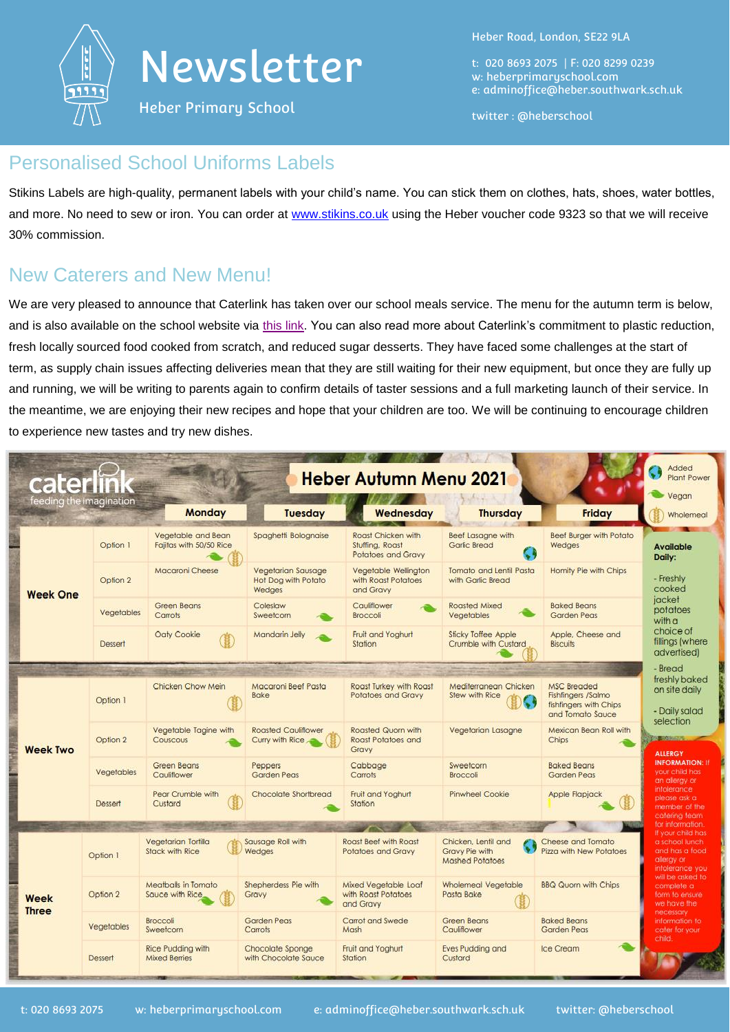

Heber Primary School

Heber Road, London, SE22 9LA

t: 020 8693 2075 | F: 020 8299 0239 w: heberprimaryschool.com e: [adminoffice@heber.southwark.sch.uk](mailto:adminoffice@heber.southwark.sch.uk)

twitter : @heberschool

#### Personalised School Uniforms Labels

Stikins Labels are high-quality, permanent labels with your child's name. You can stick them on clothes, hats, shoes, water bottles, and more. No need to sew or iron. You can order at [www.stikins.co.uk](http://www.stikins.co.uk/) using the Heber voucher code 9323 so that we will receive 30% commission.

### New Caterers and New Menu!

We are very pleased to announce that Caterlink has taken over our school meals service. The menu for the autumn term is below, and is also available on the school website via [this link.](https://www.heberprimaryschool.com/parents/school-meals/) You can also read more about Caterlink's commitment to plastic reduction, fresh locally sourced food cooked from scratch, and reduced sugar desserts. They have faced some challenges at the start of term, as supply chain issues affecting deliveries mean that they are still waiting for their new equipment, but once they are fully up and running, we will be writing to parents again to confirm details of taster sessions and a full marketing launch of their service. In the meantime, we are enjoying their new recipes and hope that your children are too. We will be continuing to encourage children to experience new tastes and try new dishes.

| caterlink<br>feeding the imagination |                                               | <b>Monday</b>                                                                                                                                                 | <b>Tuesday</b>                                                                                                                            | <b>Heber Autumn Menu 2021</b><br>Wednesday                                                                                                                                         | <b>Thursday</b>                                                                                                                                                                             | <b>Friday</b>                                                                                                                                                                    | Added<br><b>Plant Power</b><br>Vegan                                                                                                                                                                                                                                        |
|--------------------------------------|-----------------------------------------------|---------------------------------------------------------------------------------------------------------------------------------------------------------------|-------------------------------------------------------------------------------------------------------------------------------------------|------------------------------------------------------------------------------------------------------------------------------------------------------------------------------------|---------------------------------------------------------------------------------------------------------------------------------------------------------------------------------------------|----------------------------------------------------------------------------------------------------------------------------------------------------------------------------------|-----------------------------------------------------------------------------------------------------------------------------------------------------------------------------------------------------------------------------------------------------------------------------|
| <b>Week One</b>                      | Option 1<br>Option 2<br>Vegetables<br>Dessert | Vegetable and Bean<br>Fajitas with 50/50 Rice<br><b>Macaroni Cheese</b><br>Green Beans<br>Carrots<br>Oaty Cookie                                              | Spaghetti Bolognaise<br><b>Vegetarian Sausage</b><br>Hot Dog with Potato<br>Wedges<br>Coleslaw<br>Sweetcom<br>Mandarin Jelly              | Roast Chicken with<br>Stuffing, Roast<br>Potatoes and Gravy<br>Vegetable Wellington<br>with Roast Potatoes<br>and Gravy<br>Cauliflower<br>Broccoli<br>Fruit and Yoghurt<br>Station | <b>Beef Lasagne with</b><br><b>Garlic Bread</b><br>Tomato and Lentil Pasta<br>with Garlic Bread<br><b>Roasted Mixed</b><br>Vegetables<br><b>Sticky Toffee Apple</b><br>Crumble with Custard | <b>Beef Burger with Potato</b><br>Wedges<br>Homity Pie with Chips<br><b>Baked Beans</b><br>Garden Peas<br>Apple, Cheese and<br><b>Biscuits</b>                                   | Wholemeal<br><b>Available</b><br>Daily:<br>- Freshly<br>cooked<br>jacket<br>potatoes<br>with a<br>choice of<br>fillings (where                                                                                                                                              |
| <b>Week Two</b>                      | Option 1<br>Option 2<br>Vegetables<br>Dessert | Chicken Chow Mein<br>Vegetable Tagine with<br>Couscous<br><b>Green Beans</b><br>Cauliflower<br>Pear Crumble with<br>Custard                                   | Macaroni Beef Pasta<br>Bake<br><b>Roasted Cauliflower</b><br>Curry with Rice<br>Peppers<br>Garden Peas<br>Chocolate Shortbread            | Roast Turkey with Roast<br>Potatoes and Gravy<br>Roasted Quorn with<br><b>Roast Potatoes and</b><br>Gravy<br>Cabbage<br>Carrots<br>Fruit and Yoghurt<br>Station                    | Mediterranean Chicken<br><b>Stew with Rice</b><br>Vegetarian Lasagne<br>Sweetcorn<br>Broccoli<br><b>Pinwheel Cookie</b>                                                                     | <b>MSC Breaded</b><br>Fishfingers /Salmo<br>fishfingers with Chips<br>and Tomato Sauce<br>Mexican Bean Roll with<br>Chips<br><b>Baked Beans</b><br>Garden Peas<br>Apple Flapjack | advertised)<br>- Bread<br>freshly baked<br>on site daily<br>- Daily salad<br>selection<br><b>COMMONSTRATE</b><br><b>ALLERGY</b><br><b>INFORMATION: IF</b><br>your child has<br>an alergy or<br>intolerance<br>please ask a                                                  |
| Week<br><b>Three</b>                 | Option 1<br>Option 2<br>Vegetables<br>Dessert | Vegetarian Tortilla<br>Stack with Rice<br>Meatballs in Tomato<br>Sauce with Rice<br>Broccoli<br>Sweetcorn<br><b>Rice Pudding with</b><br><b>Mixed Berries</b> | Sausage Roll with<br>Wedges<br>Shepherdess Pie with<br>Gravy<br><b>Garden Peas</b><br>Carrots<br>Chocolate Sponge<br>with Chocolate Sauce | <b>Roast Beef with Roast</b><br>Potatoes and Gravy<br>Mixed Vegetable Loaf<br>with Roast Potatoes<br>and Gravy<br>Carrot and Swede<br>Mash<br>Fruit and Yoghurt<br>Station         | Chicken, Lentil and<br>Gravy Pie with<br><b>Mashed Potatoes</b><br>Wholemeal Vegetable<br>Pasta Bake<br>Green Beans<br>Cauliflower<br><b>Eves Pudding and</b><br>Custard                    | Cheese and Tomato<br>Pizza with New Potatoes<br><b>BBQ Quorn with Chips:</b><br><b>Baked Beans</b><br><b>Garden Peas</b><br>Ice Cream                                            | member of the<br>catering team<br>for information.<br>If your child has<br>a school lunch<br>and has a food<br>allergy or<br>infolerance you<br>will be asked to<br>complete a<br>form to ensure<br>we have the<br>necessary<br>information to:<br>cater for your<br>child. |